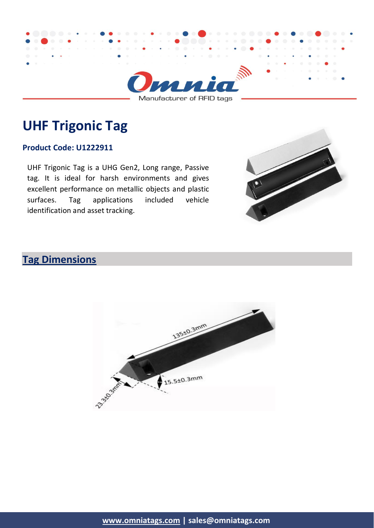

Manufacturer of RFID tags

## **UHF Trigonic Tag**

#### **Product Code: U1222911**

UHF Trigonic Tag is a UHG Gen2, Long range, Passive tag. It is ideal for harsh environments and gives excellent performance on metallic objects and plastic surfaces. Tag applications included vehicle identification and asset tracking.

# **Tag Dimensions**

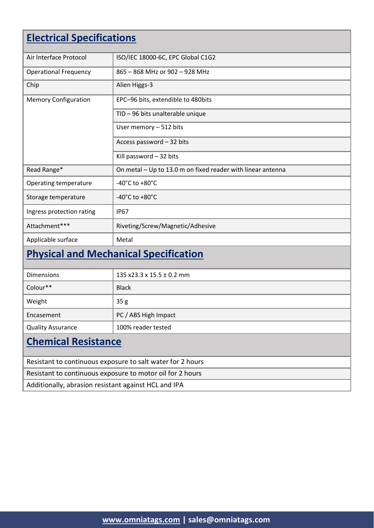## **Electrical Specifications**

| Air Interface Protocol       | ISO/IEC 18000-6C, EPC Global C1G2                           |
|------------------------------|-------------------------------------------------------------|
| <b>Operational Frequency</b> | 865 - 868 MHz or 902 - 928 MHz                              |
| Chip                         | Alien Higgs-3                                               |
| <b>Memory Configuration</b>  | EPC-96 bits, extendible to 480bits                          |
|                              | TID - 96 bits unalterable unique                            |
|                              | User memory $-512$ bits                                     |
|                              | Access password - 32 bits                                   |
|                              | Kill password - 32 bits                                     |
| Read Range*                  | On metal - Up to 13.0 m on fixed reader with linear antenna |
| Operating temperature        | -40 $^{\circ}$ C to +80 $^{\circ}$ C                        |
| Storage temperature          | $-40^{\circ}$ C to $+80^{\circ}$ C                          |
| Ingress protection rating    | <b>IP67</b>                                                 |
| Attachment***                | Riveting/Screw/Magnetic/Adhesive                            |
| Applicable surface           | Metal                                                       |

## **Physical and Mechanical Specification**

| <b>Dimensions</b>        | 135 x23.3 x 15.5 $\pm$ 0.2 mm |
|--------------------------|-------------------------------|
| Colour**                 | <b>Black</b>                  |
| Weight                   | 35 <sub>g</sub>               |
| Encasement               | PC / ABS High Impact          |
| <b>Quality Assurance</b> | 100% reader tested            |
|                          |                               |

## **Chemical Resistance**

| Resistant to continuous exposure to salt water for 2 hours |
|------------------------------------------------------------|
| Resistant to continuous exposure to motor oil for 2 hours  |
| Additionally, abrasion resistant against HCL and IPA       |